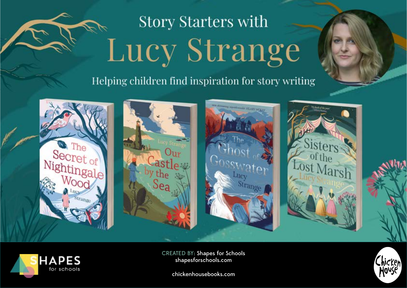# **Story Starters with** Lucy Strange

Helping children find inspiration for story writing





CREATED BY: Shapes for Schools



chickenhousebooks.com

shapesforschools.com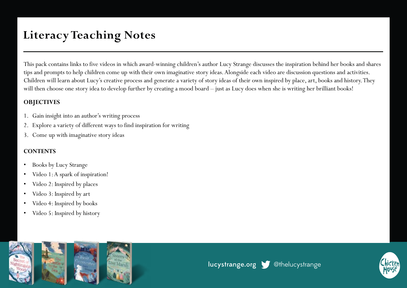# **Literacy Teaching Notes**

This pack contains links to five videos in which award-winning children's author Lucy Strange discusses the inspiration behind her books and shares tips and prompts to help children come up with their own imaginative story ideas. Alongside each video are discussion questions and activities. Children will learn about Lucy's creative process and generate a variety of story ideas of their own inspired by place, art, books and history. They will then choose one story idea to develop further by creating a mood board – just as Lucy does when she is writing her brilliant books!

#### **OBJECTIVES**

- 1. Gain insight into an author's writing process
- 2. Explore a variety of different ways to find inspiration for writing
- 3. Come up with imaginative story ideas

#### **CONTENTS**

- Books by Lucy Strange
- Video 1: A spark of inspiration!
- Video 2: Inspired by places
- Video 3: Inspired by art
- Video 4: Inspired by books
- Video 5: Inspired by history



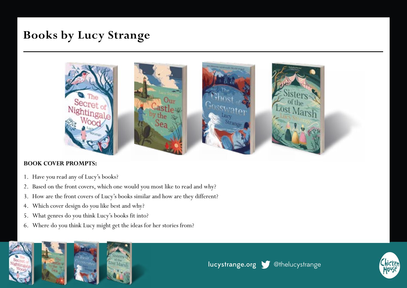### **Books by Lucy Strange**



#### **BOOK COVER PROMPTS:**

- 1. Have you read any of Lucy's books?
- 2. Based on the front covers, which one would you most like to read and why?
- 3. How are the front covers of Lucy's books similar and how are they different?
- 4. Which cover design do you like best and why?
- 5. What genres do you think Lucy's books fit into?
- 6. Where do you think Lucy might get the ideas for her stories from?



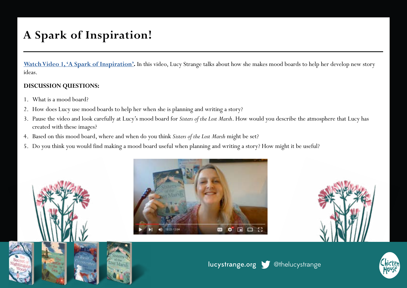# **A Spark of Inspiration!**

**[Watch Video 1, 'A Spark of Inspiration'.](https://www.youtube.com/watch?v=_JxUlPTssMI)** In this video, Lucy Strange talks about how she makes mood boards to help her develop new story ideas.

#### **DISCUSSION QUESTIONS:**

- 1. What is a mood board?
- 2. How does Lucy use mood boards to help her when she is planning and writing a story?
- 3. Pause the video and look carefully at Lucy's mood board for *Sisters of the Lost Marsh*. How would you describe the atmosphere that Lucy has created with these images?
- 4. Based on this mood board, where and when do you think *Sisters of the Lost Marsh* might be set?
- 5. Do you think you would find making a mood board useful when planning and writing a story? How might it be useful?







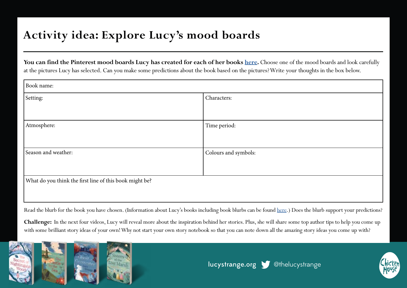### **Activity idea: Explore Lucy's mood boards**

You can find the Pinterest mood boards Lucy has created for each of her books [here](https://www.pinterest.co.uk/thelucystrange/_saved/). Choose one of the mood boards and look carefully at the pictures Lucy has selected. Can you make some predictions about the book based on the pictures? Write your thoughts in the box below.

| Book name:                                              |                      |
|---------------------------------------------------------|----------------------|
| Setting:                                                | Characters:          |
|                                                         |                      |
| Atmosphere:                                             | Time period:         |
|                                                         |                      |
| Season and weather:                                     | Colours and symbols: |
|                                                         |                      |
| What do you think the first line of this book might be? |                      |
|                                                         |                      |

Read the blurb for the book you have chosen. (Information about Lucy's books including book blurbs can be found [here.](https://www.chickenhousebooks.com/search/?search=lucy+strange)) Does the blurb support your predictions?

**Challenge:** In the next four videos, Lucy will reveal more about the inspiration behind her stories. Plus, she will share some top author tips to help you come up with some brilliant story ideas of your own! Why not start your own story notebook so that you can note down all the amazing story ideas you come up with?



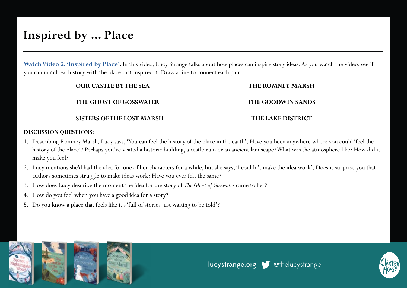### **Inspired by ... Place**

**[Watch Video 2, 'Inspired by Place'](https://www.youtube.com/watch?v=Ik6iWPwA8go).** In this video, Lucy Strange talks about how places can inspire story ideas. As you watch the video, see if you can match each story with the place that inspired it. Draw a line to connect each pair:

| <b>OUR CASTLE BYTHE SEA</b>     | <b>THE ROMNEY MARSH</b>  |
|---------------------------------|--------------------------|
| <b>THE GHOST OF GOSSWATER</b>   | THE GOODWIN SANDS        |
| <b>SISTERS OFTHE LOST MARSH</b> | <b>THE LAKE DISTRICT</b> |

#### **DISCUSSION QUESTIONS:**

- 1. Describing Romney Marsh, Lucy says, 'You can feel the history of the place in the earth'. Have you been anywhere where you could 'feel the history of the place'? Perhaps you've visited a historic building, a castle ruin or an ancient landscape? What was the atmosphere like? How did it make you feel?
- 2. Lucy mentions she'd had the idea for one of her characters for a while, but she says, 'I couldn't make the idea work'. Does it surprise you that authors sometimes struggle to make ideas work? Have you ever felt the same?
- 3. How does Lucy describe the moment the idea for the story of *The Ghost of Gosswater* came to her?
- 4. How do you feel when you have a good idea for a story?
- 5. Do you know a place that feels like it's 'full of stories just waiting to be told'?



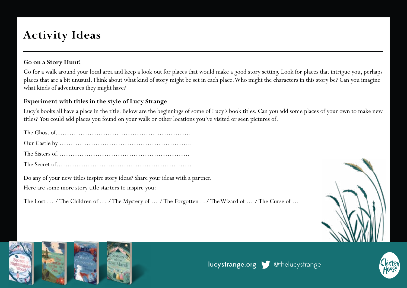# **Activity Ideas**

#### **Go on a Story Hunt!**

Go for a walk around your local area and keep a look out for places that would make a good story setting. Look for places that intrigue you, perhaps places that are a bit unusual. Think about what kind of story might be set in each place. Who might the characters in this story be? Can you imagine what kinds of adventures they might have?

#### **Experiment with titles in the style of Lucy Strange**

Lucy's books all have a place in the title. Below are the beginnings of some of Lucy's book titles. Can you add some places of your own to make new titles? You could add places you found on your walk or other locations you've visited or seen pictures of.

Do any of your new titles inspire story ideas? Share your ideas with a partner.

Here are some more story title starters to inspire you:

The Lost … / The Children of … / The Mystery of … / The Forgotten .../ The Wizard of … / The Curse of …





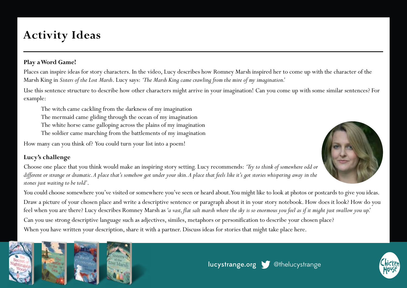# **Activity Ideas**

#### **Play a Word Game!**

Places can inspire ideas for story characters. In the video, Lucy describes how Romney Marsh inspired her to come up with the character of the Marsh King in *Sisters of the Lost Marsh*. Lucy says: *'The Marsh King came crawling from the mire of my imagination.'*

Use this sentence structure to describe how other characters might arrive in your imagination! Can you come up with some similar sentences? For example:

- The witch came cackling from the darkness of my imagination
- The mermaid came gliding through the ocean of my imagination
- The white horse came galloping across the plains of my imagination
- The soldier came marching from the battlements of my imagination

How many can you think of? You could turn your list into a poem!

#### **Lucy's challenge**

Choose one place that you think would make an inspiring story setting. Lucy recommends: *'Try to think of somewhere odd or different or strange or dramatic. A place that's somehow got under your skin. A place that feels like it's got stories whispering away in the stones just waiting to be told'*.







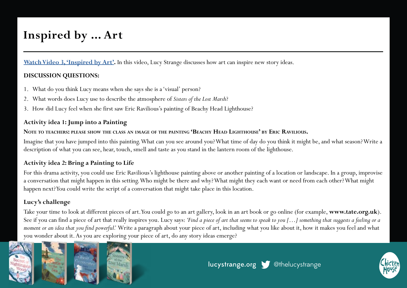## **Inspired by ... Art**

**[Watch Video 3, 'Inspired by Art'.](https://www.youtube.com/watch?v=9Plu_Un0bUk)** In this video, Lucy Strange discusses how art can inspire new story ideas.

#### **DISCUSSION QUESTIONS:**

- 1. What do you think Lucy means when she says she is a 'visual' person?
- 2. What words does Lucy use to describe the atmosphere of *Sisters of the Lost Marsh*?
- 3. How did Lucy feel when she first saw Eric Ravilious's painting of Beachy Head Lighthouse?

#### **Activity idea 1: Jump into a Painting**

#### **Note to teachers: please show the class an image of the painting 'Beachy Head Lighthouse' by Eric Ravilious.**

Imagine that you have jumped into this painting. What can you see around you? What time of day do you think it might be, and what season? Write a description of what you can see, hear, touch, smell and taste as you stand in the lantern room of the lighthouse.

#### **Activity idea 2: Bring a Painting to Life**

For this drama activity, you could use Eric Ravilious's lighthouse painting above or another painting of a location or landscape. In a group, improvise a conversation that might happen in this setting. Who might be there and why? What might they each want or need from each other? What might happen next? You could write the script of a conversation that might take place in this location.

#### **Lucy's challenge**

Take your time to look at different pieces of art. You could go to an art gallery, look in an art book or go online (for example, **www.tate.org.uk**). See if you can find a piece of art that really inspires you. Lucy says: *'Find a piece of art that seems to speak to you […] something that suggests a feeling or a moment or an idea that you find powerful.'* Write a paragraph about your piece of art, including what you like about it, how it makes you feel and what you wonder about it. As you are exploring your piece of art, do any story ideas emerge?



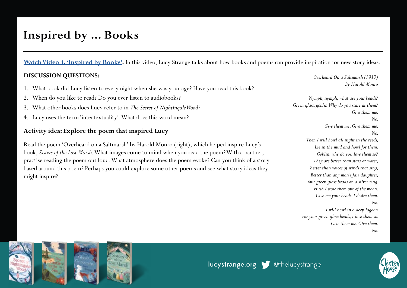### **Inspired by ... Books**

**[Watch Video 4, 'Inspired by Books'.](https://www.youtube.com/watch?v=v8IhvYFZGxE)** In this video, Lucy Strange talks about how books and poems can provide inspiration for new story ideas.

#### **DISCUSSION QUESTIONS:**

- 1. What book did Lucy listen to every night when she was your age? Have you read this book?
- 2. When do you like to read? Do you ever listen to audiobooks?
- 3. What other books does Lucy refer to in *The Secret of Nightingale Wood*?
- 4. Lucy uses the term 'intertextuality'. What does this word mean?

#### **Activity idea: Explore the poem that inspired Lucy**

Read the poem 'Overheard on a Saltmarsh' by Harold Monro (right), which helped inspire Lucy's book, *Sisters of the Lost Marsh*. What images come to mind when you read the poem? With a partner, practise reading the poem out loud. What atmosphere does the poem evoke? Can you think of a story based around this poem? Perhaps you could explore some other poems and see what story ideas they might inspire?

*Overheard On a Saltmarsh (1917) By Harold Monro*

*Nymph, nymph, what are your beads? Green glass, goblin. Why do you stare at them? Give them me. No. Give them me. Give them me. No. Then I will howl all night in the reeds, Lie in the mud and howl for them. Goblin, why do you love them so? They are better than stars or water, Better than voices of winds that sing, Better than any man's fair daughter, Your green glass beads on a silver ring. Hush I stole them out of the moon. Give me your beads. I desire them. No. I will howl in a deep lagoon*

*For your green glass beads, I love them so. Give them me. Give them. No.*



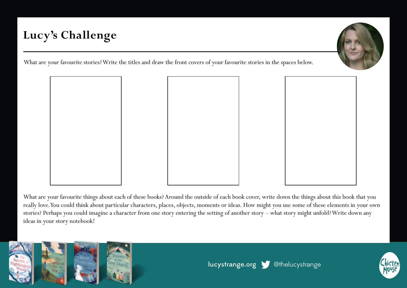# **Lucy's Challenge**

What are your favourite stories? Write the titles and draw the front covers of your favourite stories in the spaces below.



What are your favourite things about each of these books? Around the outside of each book cover, write down the things about this book that you really love. You could think about particular characters, places, objects, moments or ideas. How might you use some of these elements in your own stories? Perhaps you could imagine a character from one story entering the setting of another story – what story might unfold? Write down any ideas in your story notebook!



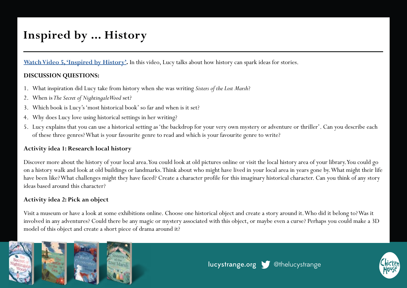## **Inspired by ... History**

**[Watch Video 5, 'Inspired by History'](https://www.youtube.com/watch?v=eYA_xi4WnYM).** In this video, Lucy talks about how history can spark ideas for stories.

#### **DISCUSSION QUESTIONS:**

- 1. What inspiration did Lucy take from history when she was writing *Sisters of the Lost Marsh*?
- 2. When is *The Secret of Nightingale Wood* set?
- 3. Which book is Lucy's 'most historical book' so far and when is it set?
- 4. Why does Lucy love using historical settings in her writing?
- 5. Lucy explains that you can use a historical setting as 'the backdrop for your very own mystery or adventure or thriller'. Can you describe each of these three genres? What is your favourite genre to read and which is your favourite genre to write?

#### **Activity idea 1: Research local history**

Discover more about the history of your local area. You could look at old pictures online or visit the local history area of your library. You could go on a history walk and look at old buildings or landmarks. Think about who might have lived in your local area in years gone by. What might their life have been like? What challenges might they have faced? Create a character profile for this imaginary historical character. Can you think of any story ideas based around this character?

#### **Activity idea 2: Pick an object**

Visit a museum or have a look at some exhibitions online. Choose one historical object and create a story around it. Who did it belong to? Was it involved in any adventures? Could there be any magic or mystery associated with this object, or maybe even a curse? Perhaps you could make a 3D model of this object and create a short piece of drama around it?



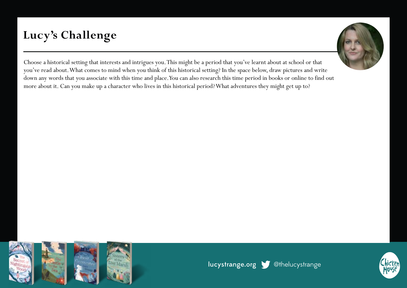# **Lucy's Challenge**



Choose a historical setting that interests and intrigues you. This might be a period that you've learnt about at school or that you've read about. What comes to mind when you think of this historical setting? In the space below, draw pictures and write down any words that you associate with this time and place. You can also research this time period in books or online to find out more about it. Can you make up a character who lives in this historical period? What adventures they might get up to?



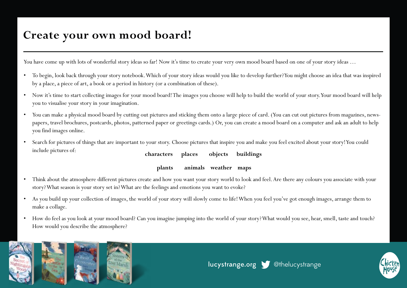### **Create your own mood board!**

You have come up with lots of wonderful story ideas so far! Now it's time to create your very own mood board based on one of your story ideas ...

- To begin, look back through your story notebook. Which of your story ideas would you like to develop further? You might choose an idea that was inspired by a place, a piece of art, a book or a period in history (or a combination of these).
- Now it's time to start collecting images for your mood board! The images you choose will help to build the world of your story. Your mood board will help you to visualise your story in your imagination.
- You can make a physical mood board by cutting out pictures and sticking them onto a large piece of card. (You can cut out pictures from magazines, newspapers, travel brochures, postcards, photos, patterned paper or greetings cards.) Or, you can create a mood board on a computer and ask an adult to help you find images online.
- Search for pictures of things that are important to your story. Choose pictures that inspire you and make you feel excited about your story! You could include pictures of: **characters places objects buildings**

#### **plants animals weather maps**

- Think about the atmosphere different pictures create and how you want your story world to look and feel. Are there any colours you associate with your story? What season is your story set in? What are the feelings and emotions you want to evoke?
- As you build up your collection of images, the world of your story will slowly come to life! When you feel you've got enough images, arrange them to make a collage.
- How do feel as you look at your mood board? Can you imagine jumping into the world of your story? What would you see, hear, smell, taste and touch? How would you describe the atmosphere?



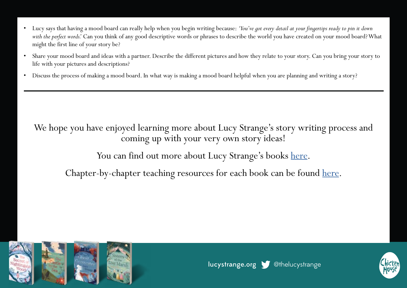- Lucy says that having a mood board can really help when you begin writing because: *'You've got every detail at your fingertips ready to pin it down with the perfect words.'* Can you think of any good descriptive words or phrases to describe the world you have created on your mood board? What might the first line of your story be?
- Share your mood board and ideas with a partner. Describe the different pictures and how they relate to your story. Can you bring your story to life with your pictures and descriptions?
- Discuss the process of making a mood board. In what way is making a mood board helpful when you are planning and writing a story?

We hope you have enjoyed learning more about Lucy Strange's story writing process and coming up with your very own story ideas!

You can find out more about Lucy Strange's books [here.](https://www.lucystrange.org/)

Chapter-by-chapter teaching resources for each book can be found [here](https://www.chickenhousebooks.com/schools/lucy-strange-author/).